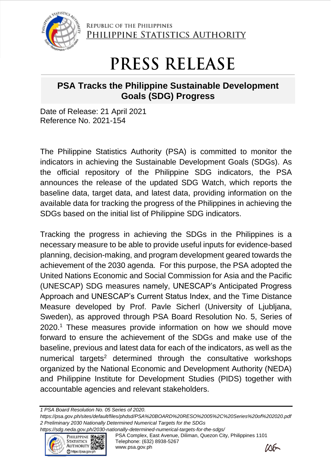

REPUBLIC OF THE PHILIPPINES PHILIPPINE STATISTICS AUTHORITY

## PRESS RELEASE

## **PSA Tracks the Philippine Sustainable Development Goals (SDG) Progress**

Date of Release: 21 April 2021 Reference No. 2021-154

The Philippine Statistics Authority (PSA) is committed to monitor the indicators in achieving the Sustainable Development Goals (SDGs). As the official repository of the Philippine SDG indicators, the PSA announces the release of the updated SDG Watch, which reports the baseline data, target data, and latest data, providing information on the available data for tracking the progress of the Philippines in achieving the SDGs based on the initial list of Philippine SDG indicators.

Tracking the progress in achieving the SDGs in the Philippines is a necessary measure to be able to provide useful inputs for evidence-based planning, decision-making, and program development geared towards the achievement of the 2030 agenda. For this purpose, the PSA adopted the United Nations Economic and Social Commission for Asia and the Pacific (UNESCAP) SDG measures namely, UNESCAP's Anticipated Progress Approach and UNESCAP's Current Status Index, and the Time Distance Measure developed by Prof. Pavle Sicherl (University of Ljubljana, Sweden), as approved through PSA Board Resolution No. 5, Series of 2020. <sup>1</sup> These measures provide information on how we should move forward to ensure the achievement of the SDGs and make use of the baseline, previous and latest data for each of the indicators, as well as the numerical targets<sup>2</sup> determined through the consultative workshops organized by the National Economic and Development Authority (NEDA) and Philippine Institute for Development Studies (PIDS) together with accountable agencies and relevant stakeholders.

*1 PSA Board Resolution No. 05 Series of 2020.* 

*<https://psa.gov.ph/sites/default/files/phdsd/PSA%20BOARD%20RESO%2005%2C%20Series%20of%202020.pdf> 2 Preliminary 2030 Nationally Determined Numerical Targets for the SDGs*



PSA Complex, East Avenue, Diliman, Quezon City, Philippines 1101 Telephone: (632) 8938-5267 www.psa.gov.ph *<https://sdg.neda.gov.ph/2030-nationally-determined-numerical-targets-for-the-sdgs/>*<br>PHILIPPINE Dtate PSA Complex, East Avenue, Diliman, Quezon City<br>STATISTICS Telephone: (632) 8938-5267<br>www.psa.gov.ph